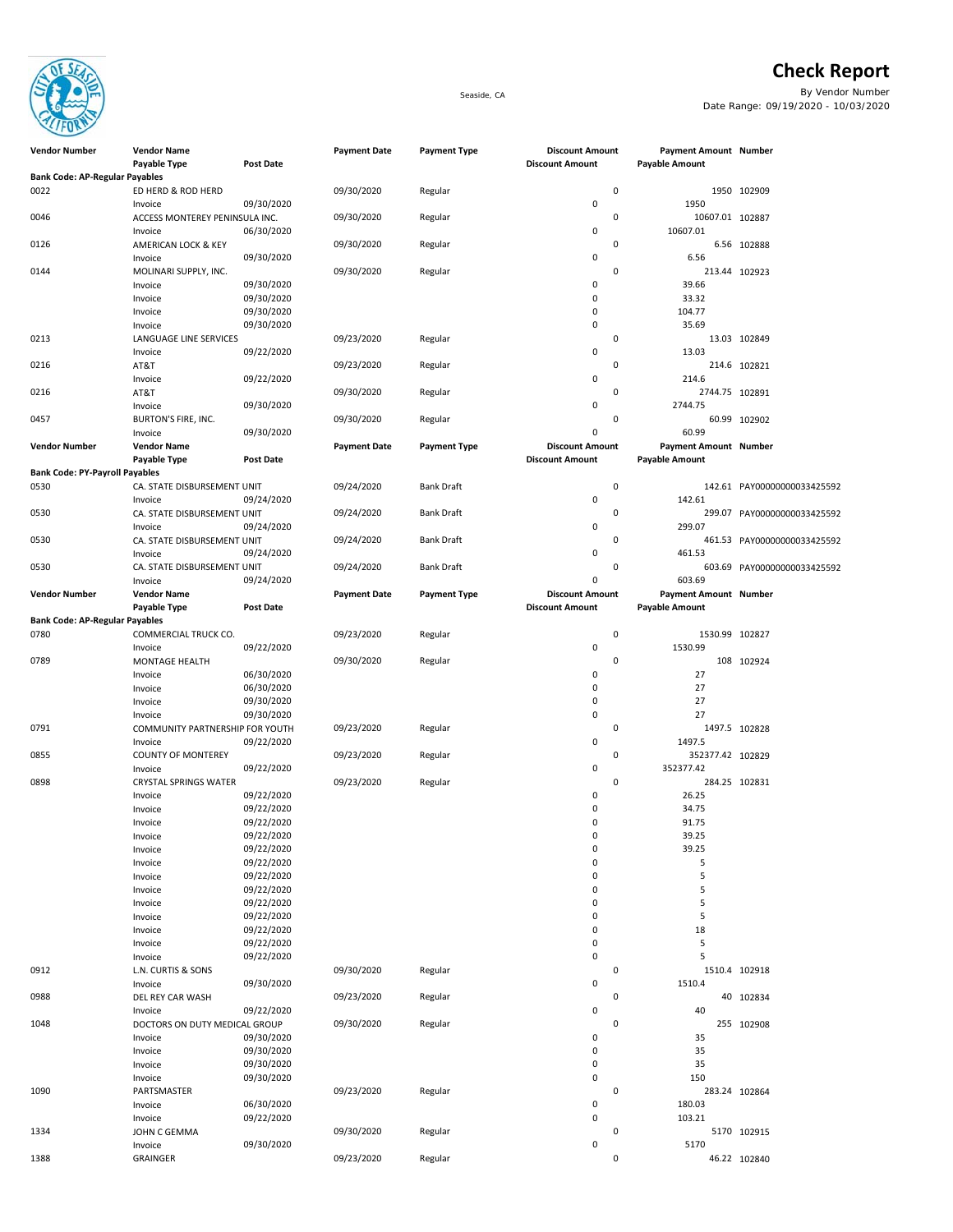

**Check Report** Seaside, CA By Vendor Number Date Range: 09/19/2020 - 10/03/2020

| <b>Vendor Number</b>                  | <b>Vendor Name</b>                   |                          | <b>Payment Date</b> | <b>Payment Type</b> | <b>Discount Amount</b> | <b>Payment Amount Number</b> |                             |
|---------------------------------------|--------------------------------------|--------------------------|---------------------|---------------------|------------------------|------------------------------|-----------------------------|
|                                       | Payable Type                         | Post Date                |                     |                     | <b>Discount Amount</b> | <b>Payable Amount</b>        |                             |
| <b>Bank Code: AP-Regular Payables</b> |                                      |                          |                     |                     |                        |                              |                             |
| 0022                                  | ED HERD & ROD HERD                   |                          | 09/30/2020          | Regular             |                        | 0                            | 1950 102909                 |
|                                       | Invoice                              | 09/30/2020               |                     |                     | 0                      | 1950                         |                             |
| 0046                                  | ACCESS MONTEREY PENINSULA INC.       |                          | 09/30/2020          | Regular             |                        | 0<br>10607.01 102887         |                             |
|                                       | Invoice                              | 06/30/2020               |                     |                     | 0                      | 10607.01                     |                             |
| 0126                                  | AMERICAN LOCK & KEY                  |                          | 09/30/2020          | Regular             |                        | 0                            | 6.56 102888                 |
|                                       | Invoice                              | 09/30/2020               |                     |                     | 0                      | 6.56                         |                             |
| 0144                                  | MOLINARI SUPPLY, INC.                |                          | 09/30/2020          | Regular             |                        | 0                            | 213.44 102923               |
|                                       | Invoice                              | 09/30/2020               |                     |                     | 0                      | 39.66                        |                             |
|                                       | Invoice                              | 09/30/2020               |                     |                     | 0                      | 33.32                        |                             |
|                                       | Invoice                              | 09/30/2020               |                     |                     | 0                      | 104.77                       |                             |
|                                       | Invoice                              | 09/30/2020               |                     |                     | 0                      | 35.69                        |                             |
| 0213                                  | LANGUAGE LINE SERVICES               |                          | 09/23/2020          | Regular             |                        | 0                            | 13.03 102849                |
|                                       | Invoice                              | 09/22/2020               |                     |                     | 0                      | 13.03                        |                             |
| 0216                                  | AT&T                                 |                          | 09/23/2020          | Regular             |                        | 0                            | 214.6 102821                |
|                                       | Invoice                              | 09/22/2020               |                     |                     | 0                      | 214.6                        |                             |
| 0216                                  | AT&T                                 |                          | 09/30/2020          | Regular             |                        | 0<br>2744.75 102891          |                             |
|                                       | Invoice                              | 09/30/2020               |                     |                     | 0                      | 2744.75                      |                             |
| 0457                                  | <b>BURTON'S FIRE, INC.</b>           |                          | 09/30/2020          | Regular             |                        | 0                            | 60.99 102902                |
|                                       | Invoice                              | 09/30/2020               |                     |                     | 0                      | 60.99                        |                             |
| <b>Vendor Number</b>                  | <b>Vendor Name</b>                   |                          | <b>Payment Date</b> | <b>Payment Type</b> | <b>Discount Amount</b> | <b>Payment Amount Number</b> |                             |
|                                       | Payable Type                         | Post Date                |                     |                     | <b>Discount Amount</b> | <b>Payable Amount</b>        |                             |
| <b>Bank Code: PY-Payroll Payables</b> |                                      |                          |                     |                     |                        |                              |                             |
| 0530                                  | CA. STATE DISBURSEMENT UNIT          |                          | 09/24/2020          | <b>Bank Draft</b>   |                        | 0                            | 142.61 PAY00000000033425592 |
|                                       | Invoice                              | 09/24/2020               |                     |                     | 0                      | 142.61                       |                             |
| 0530                                  | CA. STATE DISBURSEMENT UNIT          |                          | 09/24/2020          | <b>Bank Draft</b>   |                        | 0                            | 299.07 PAY00000000033425592 |
|                                       | Invoice                              | 09/24/2020               |                     |                     | 0                      | 299.07                       |                             |
| 0530                                  | CA. STATE DISBURSEMENT UNIT          |                          | 09/24/2020          | <b>Bank Draft</b>   |                        | 0                            | 461.53 PAY00000000033425592 |
|                                       | Invoice                              | 09/24/2020               |                     |                     | 0                      | 461.53                       |                             |
| 0530                                  | CA. STATE DISBURSEMENT UNIT          |                          | 09/24/2020          | <b>Bank Draft</b>   |                        | 0                            | 603.69 PAY00000000033425592 |
|                                       | Invoice                              | 09/24/2020               |                     |                     | 0                      | 603.69                       |                             |
| <b>Vendor Number</b>                  | <b>Vendor Name</b>                   |                          | <b>Payment Date</b> | <b>Payment Type</b> | <b>Discount Amount</b> | <b>Payment Amount Number</b> |                             |
|                                       | Payable Type                         | Post Date                |                     |                     | <b>Discount Amount</b> | <b>Payable Amount</b>        |                             |
| <b>Bank Code: AP-Regular Payables</b> |                                      |                          |                     |                     |                        |                              |                             |
| 0780                                  | COMMERCIAL TRUCK CO.                 |                          | 09/23/2020          | Regular             |                        | 0<br>1530.99 102827          |                             |
|                                       | Invoice                              | 09/22/2020               |                     |                     | 0                      | 1530.99                      |                             |
| 0789                                  | MONTAGE HEALTH                       |                          | 09/30/2020          | Regular             |                        | 0                            | 108 102924                  |
|                                       | Invoice                              | 06/30/2020               |                     |                     | 0                      | 27                           |                             |
|                                       | Invoice                              | 06/30/2020               |                     |                     | 0                      | 27                           |                             |
|                                       | Invoice                              | 09/30/2020               |                     |                     | 0                      | 27                           |                             |
|                                       |                                      | 09/30/2020               |                     |                     | 0                      | 27                           |                             |
| 0791                                  | Invoice                              |                          |                     |                     |                        | 0                            | 1497.5 102828               |
|                                       | COMMUNITY PARTNERSHIP FOR YOUTH      |                          | 09/23/2020          | Regular             | 0                      | 1497.5                       |                             |
| 0855                                  | Invoice<br><b>COUNTY OF MONTEREY</b> | 09/22/2020               |                     |                     |                        | 0<br>352377.42 102829        |                             |
|                                       |                                      |                          | 09/23/2020          | Regular             | $\pmb{0}$              |                              |                             |
|                                       | Invoice                              | 09/22/2020               |                     |                     |                        | 352377.42<br>0               |                             |
| 0898                                  | <b>CRYSTAL SPRINGS WATER</b>         |                          | 09/23/2020          | Regular             | 0                      |                              | 284.25 102831               |
|                                       | Invoice                              | 09/22/2020<br>09/22/2020 |                     |                     | 0                      | 26.25<br>34.75               |                             |
|                                       | Invoice                              |                          |                     |                     |                        |                              |                             |
|                                       | Invoice                              | 09/22/2020               |                     |                     | 0                      | 91.75                        |                             |
|                                       | Invoice                              | 09/22/2020               |                     |                     | 0                      | 39.25                        |                             |
|                                       | Invoice                              | 09/22/2020               |                     |                     | 0                      | 39.25                        |                             |
|                                       | Invoice                              | 09/22/2020               |                     |                     | 0                      | 5                            |                             |
|                                       | Invoice                              | 09/22/2020               |                     |                     | $\mathbf 0$            | 5                            |                             |
|                                       | Invoice                              | 09/22/2020               |                     |                     | 0                      | 5                            |                             |
|                                       | Invoice                              | 09/22/2020               |                     |                     | $\mathbf 0$            | 5                            |                             |
|                                       | Invoice                              | 09/22/2020               |                     |                     | 0                      | 5                            |                             |
|                                       | Invoice                              | 09/22/2020               |                     |                     | 0                      | 18                           |                             |
|                                       | Invoice                              | 09/22/2020               |                     |                     | 0                      | 5                            |                             |
|                                       | Invoice                              | 09/22/2020               |                     |                     | $\mathbf 0$            | 5                            |                             |
| 0912                                  | L.N. CURTIS & SONS                   |                          | 09/30/2020          | Regular             |                        | 0                            | 1510.4 102918               |
|                                       | Invoice                              | 09/30/2020               |                     |                     | 0                      | 1510.4                       |                             |
| 0988                                  | DEL REY CAR WASH                     |                          | 09/23/2020          | Regular             |                        | 0                            | 40 102834                   |
|                                       | Invoice                              | 09/22/2020               |                     |                     | $\pmb{0}$              | 40                           |                             |
| 1048                                  | DOCTORS ON DUTY MEDICAL GROUP        |                          | 09/30/2020          | Regular             |                        | 0                            | 255 102908                  |
|                                       | Invoice                              | 09/30/2020               |                     |                     | 0                      | 35                           |                             |
|                                       | Invoice                              | 09/30/2020               |                     |                     | 0                      | 35                           |                             |
|                                       | Invoice                              | 09/30/2020               |                     |                     | $\mathbf 0$            | 35                           |                             |
|                                       | Invoice                              | 09/30/2020               |                     |                     | $\pmb{0}$              | 150                          |                             |
| 1090                                  | PARTSMASTER                          |                          | 09/23/2020          | Regular             |                        | 0                            | 283.24 102864               |
|                                       | Invoice                              | 06/30/2020               |                     |                     | $\pmb{0}$              | 180.03                       |                             |
|                                       | Invoice                              | 09/22/2020               |                     |                     | 0                      | 103.21                       |                             |
| 1334                                  | JOHN C GEMMA                         |                          | 09/30/2020          | Regular             |                        | 0                            | 5170 102915                 |
|                                       | Invoice                              | 09/30/2020               |                     |                     | 0                      | 5170                         |                             |
| 1388                                  | GRAINGER                             |                          | 09/23/2020          | Regular             |                        | 0                            | 46.22 102840                |
|                                       |                                      |                          |                     |                     |                        |                              |                             |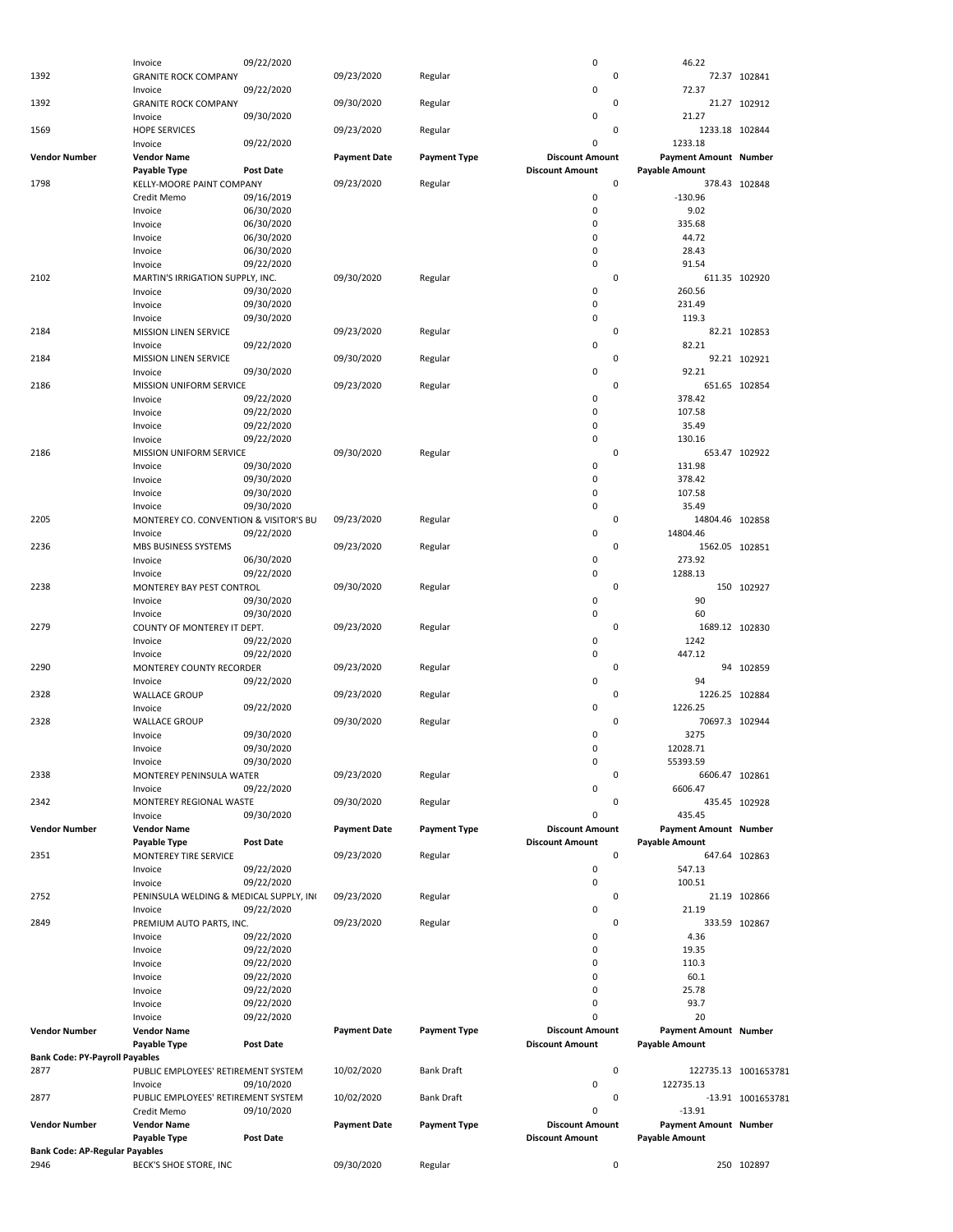|                                       | Invoice                                 | 09/22/2020       |                     |                     | 0                      | 46.22                        |                      |
|---------------------------------------|-----------------------------------------|------------------|---------------------|---------------------|------------------------|------------------------------|----------------------|
| 1392                                  | <b>GRANITE ROCK COMPANY</b>             |                  | 09/23/2020          | Regular             | 0                      |                              | 72.37 102841         |
|                                       |                                         |                  |                     |                     | 0                      | 72.37                        |                      |
|                                       | Invoice                                 | 09/22/2020       |                     |                     |                        |                              |                      |
| 1392                                  | <b>GRANITE ROCK COMPANY</b>             |                  | 09/30/2020          | Regular             | 0                      |                              | 21.27 102912         |
|                                       | Invoice                                 | 09/30/2020       |                     |                     | 0                      | 21.27                        |                      |
| 1569                                  | <b>HOPE SERVICES</b>                    |                  | 09/23/2020          | Regular             | 0                      | 1233.18 102844               |                      |
|                                       |                                         |                  |                     |                     | 0                      |                              |                      |
|                                       | Invoice                                 | 09/22/2020       |                     |                     |                        | 1233.18                      |                      |
| <b>Vendor Number</b>                  | <b>Vendor Name</b>                      |                  | <b>Payment Date</b> | <b>Payment Type</b> | <b>Discount Amount</b> | <b>Payment Amount Number</b> |                      |
|                                       | Payable Type                            | <b>Post Date</b> |                     |                     | <b>Discount Amount</b> | <b>Payable Amount</b>        |                      |
| 1798                                  | KELLY-MOORE PAINT COMPANY               |                  | 09/23/2020          | Regular             | 0                      |                              | 378.43 102848        |
|                                       | Credit Memo                             | 09/16/2019       |                     |                     | 0                      | $-130.96$                    |                      |
|                                       |                                         |                  |                     |                     |                        |                              |                      |
|                                       | Invoice                                 | 06/30/2020       |                     |                     | 0                      | 9.02                         |                      |
|                                       | Invoice                                 | 06/30/2020       |                     |                     | 0                      | 335.68                       |                      |
|                                       | Invoice                                 | 06/30/2020       |                     |                     | 0                      | 44.72                        |                      |
|                                       | Invoice                                 | 06/30/2020       |                     |                     | 0                      | 28.43                        |                      |
|                                       | Invoice                                 | 09/22/2020       |                     |                     | 0                      | 91.54                        |                      |
| 2102                                  |                                         |                  |                     |                     | 0                      |                              | 611.35 102920        |
|                                       | MARTIN'S IRRIGATION SUPPLY, INC.        |                  | 09/30/2020          | Regular             |                        |                              |                      |
|                                       | Invoice                                 | 09/30/2020       |                     |                     | 0                      | 260.56                       |                      |
|                                       | Invoice                                 | 09/30/2020       |                     |                     | 0                      | 231.49                       |                      |
|                                       | Invoice                                 | 09/30/2020       |                     |                     | 0                      | 119.3                        |                      |
| 2184                                  | <b>MISSION LINEN SERVICE</b>            |                  | 09/23/2020          | Regular             | 0                      |                              | 82.21 102853         |
|                                       | Invoice                                 | 09/22/2020       |                     |                     | 0                      | 82.21                        |                      |
|                                       |                                         |                  |                     |                     |                        |                              |                      |
| 2184                                  | MISSION LINEN SERVICE                   |                  | 09/30/2020          | Regular             | 0                      |                              | 92.21 102921         |
|                                       | Invoice                                 | 09/30/2020       |                     |                     | 0                      | 92.21                        |                      |
| 2186                                  | MISSION UNIFORM SERVICE                 |                  | 09/23/2020          | Regular             | 0                      |                              | 651.65 102854        |
|                                       | Invoice                                 | 09/22/2020       |                     |                     | 0                      | 378.42                       |                      |
|                                       | Invoice                                 | 09/22/2020       |                     |                     | 0                      | 107.58                       |                      |
|                                       |                                         |                  |                     |                     | 0                      |                              |                      |
|                                       | Invoice                                 | 09/22/2020       |                     |                     |                        | 35.49                        |                      |
|                                       | Invoice                                 | 09/22/2020       |                     |                     | 0                      | 130.16                       |                      |
| 2186                                  | MISSION UNIFORM SERVICE                 |                  | 09/30/2020          | Regular             | 0                      |                              | 653.47 102922        |
|                                       | Invoice                                 | 09/30/2020       |                     |                     | 0                      | 131.98                       |                      |
|                                       | Invoice                                 | 09/30/2020       |                     |                     | 0                      | 378.42                       |                      |
|                                       |                                         |                  |                     |                     |                        |                              |                      |
|                                       | Invoice                                 | 09/30/2020       |                     |                     | 0                      | 107.58                       |                      |
|                                       | Invoice                                 | 09/30/2020       |                     |                     | 0                      | 35.49                        |                      |
| 2205                                  | MONTEREY CO. CONVENTION & VISITOR'S BU  |                  | 09/23/2020          | Regular             | 0                      | 14804.46 102858              |                      |
|                                       | Invoice                                 | 09/22/2020       |                     |                     | 0                      | 14804.46                     |                      |
| 2236                                  | MBS BUSINESS SYSTEMS                    |                  | 09/23/2020          | Regular             | 0                      | 1562.05 102851               |                      |
|                                       |                                         |                  |                     |                     | 0                      | 273.92                       |                      |
|                                       | Invoice                                 | 06/30/2020       |                     |                     |                        |                              |                      |
|                                       | Invoice                                 | 09/22/2020       |                     |                     | 0                      | 1288.13                      |                      |
| 2238                                  | MONTEREY BAY PEST CONTROL               |                  | 09/30/2020          | Regular             | 0                      |                              | 150 102927           |
|                                       | Invoice                                 | 09/30/2020       |                     |                     | 0                      | 90                           |                      |
|                                       | Invoice                                 | 09/30/2020       |                     |                     | 0                      | 60                           |                      |
| 2279                                  |                                         |                  |                     |                     | 0                      | 1689.12 102830               |                      |
|                                       | COUNTY OF MONTEREY IT DEPT.             |                  | 09/23/2020          | Regular             |                        |                              |                      |
|                                       | Invoice                                 | 09/22/2020       |                     |                     | 0                      | 1242                         |                      |
|                                       | Invoice                                 | 09/22/2020       |                     |                     | 0                      | 447.12                       |                      |
| 2290                                  | MONTEREY COUNTY RECORDER                |                  | 09/23/2020          | Regular             | 0                      |                              | 94 102859            |
|                                       | Invoice                                 | 09/22/2020       |                     |                     | 0                      | 94                           |                      |
|                                       |                                         |                  |                     |                     | 0                      |                              |                      |
| 2328                                  | <b>WALLACE GROUP</b>                    |                  | 09/23/2020          | Regular             |                        | 1226.25 102884               |                      |
|                                       | Invoice                                 | 09/22/2020       |                     |                     | 0                      | 1226.25                      |                      |
| 2328                                  | <b>WALLACE GROUP</b>                    |                  | 09/30/2020          | Regular             | 0                      | 70697.3 102944               |                      |
|                                       | Invoice                                 | 09/30/2020       |                     |                     | 0                      | 3275                         |                      |
|                                       | Invoice                                 | 09/30/2020       |                     |                     | 0                      | 12028.71                     |                      |
|                                       |                                         |                  |                     |                     |                        | 55393.59                     |                      |
|                                       | Invoice                                 | 09/30/2020       |                     |                     | 0                      |                              |                      |
| 2338                                  | MONTEREY PENINSULA WATER                |                  | 09/23/2020          | Regular             | 0                      | 6606.47 102861               |                      |
|                                       | Invoice                                 | 09/22/2020       |                     |                     | 0                      | 6606.47                      |                      |
| 2342                                  | MONTEREY REGIONAL WASTE                 |                  | 09/30/2020          | Regular             | 0                      |                              | 435.45 102928        |
|                                       | Invoice                                 | 09/30/2020       |                     |                     | 0                      | 435.45                       |                      |
| <b>Vendor Number</b>                  |                                         |                  |                     | <b>Payment Type</b> | <b>Discount Amount</b> |                              |                      |
|                                       | <b>Vendor Name</b>                      |                  | <b>Payment Date</b> |                     |                        | Payment Amount Number        |                      |
|                                       | Payable Type                            | Post Date        |                     |                     | <b>Discount Amount</b> | <b>Payable Amount</b>        |                      |
| 2351                                  | MONTEREY TIRE SERVICE                   |                  | 09/23/2020          | Regular             | 0                      |                              | 647.64 102863        |
|                                       | Invoice                                 | 09/22/2020       |                     |                     | 0                      | 547.13                       |                      |
|                                       | Invoice                                 | 09/22/2020       |                     |                     | 0                      | 100.51                       |                      |
| 2752                                  | PENINSULA WELDING & MEDICAL SUPPLY, INC |                  | 09/23/2020          | Regular             | 0                      |                              | 21.19 102866         |
|                                       |                                         |                  |                     |                     |                        |                              |                      |
|                                       | Invoice                                 | 09/22/2020       |                     |                     | 0                      | 21.19                        |                      |
| 2849                                  | PREMIUM AUTO PARTS, INC.                |                  | 09/23/2020          | Regular             | 0                      |                              | 333.59 102867        |
|                                       | Invoice                                 | 09/22/2020       |                     |                     | 0                      | 4.36                         |                      |
|                                       | Invoice                                 | 09/22/2020       |                     |                     | 0                      | 19.35                        |                      |
|                                       | Invoice                                 | 09/22/2020       |                     |                     | 0                      | 110.3                        |                      |
|                                       |                                         |                  |                     |                     |                        |                              |                      |
|                                       | Invoice                                 | 09/22/2020       |                     |                     | 0                      | 60.1                         |                      |
|                                       | Invoice                                 | 09/22/2020       |                     |                     | 0                      | 25.78                        |                      |
|                                       | Invoice                                 | 09/22/2020       |                     |                     | 0                      | 93.7                         |                      |
|                                       | Invoice                                 | 09/22/2020       |                     |                     | 0                      | 20                           |                      |
| <b>Vendor Number</b>                  | <b>Vendor Name</b>                      |                  | <b>Payment Date</b> | <b>Payment Type</b> | <b>Discount Amount</b> | Payment Amount Number        |                      |
|                                       |                                         |                  |                     |                     |                        |                              |                      |
|                                       | Payable Type                            | Post Date        |                     |                     | <b>Discount Amount</b> | <b>Payable Amount</b>        |                      |
| <b>Bank Code: PY-Payroll Payables</b> |                                         |                  |                     |                     |                        |                              |                      |
| 2877                                  | PUBLIC EMPLOYEES' RETIREMENT SYSTEM     |                  | 10/02/2020          | <b>Bank Draft</b>   | 0                      |                              | 122735.13 1001653781 |
|                                       | Invoice                                 | 09/10/2020       |                     |                     | 0                      | 122735.13                    |                      |
| 2877                                  | PUBLIC EMPLOYEES' RETIREMENT SYSTEM     |                  | 10/02/2020          | <b>Bank Draft</b>   | 0                      |                              | -13.91 1001653781    |
|                                       |                                         |                  |                     |                     |                        |                              |                      |
|                                       | Credit Memo                             | 09/10/2020       |                     |                     | 0                      | $-13.91$                     |                      |
| <b>Vendor Number</b>                  | <b>Vendor Name</b>                      |                  | <b>Payment Date</b> | <b>Payment Type</b> | <b>Discount Amount</b> | Payment Amount Number        |                      |
|                                       | Payable Type                            | Post Date        |                     |                     | <b>Discount Amount</b> | <b>Payable Amount</b>        |                      |
| <b>Bank Code: AP-Regular Payables</b> |                                         |                  |                     |                     |                        |                              |                      |
| 2946                                  | BECK'S SHOE STORE, INC                  |                  | 09/30/2020          | Regular             | 0                      |                              | 250 102897           |
|                                       |                                         |                  |                     |                     |                        |                              |                      |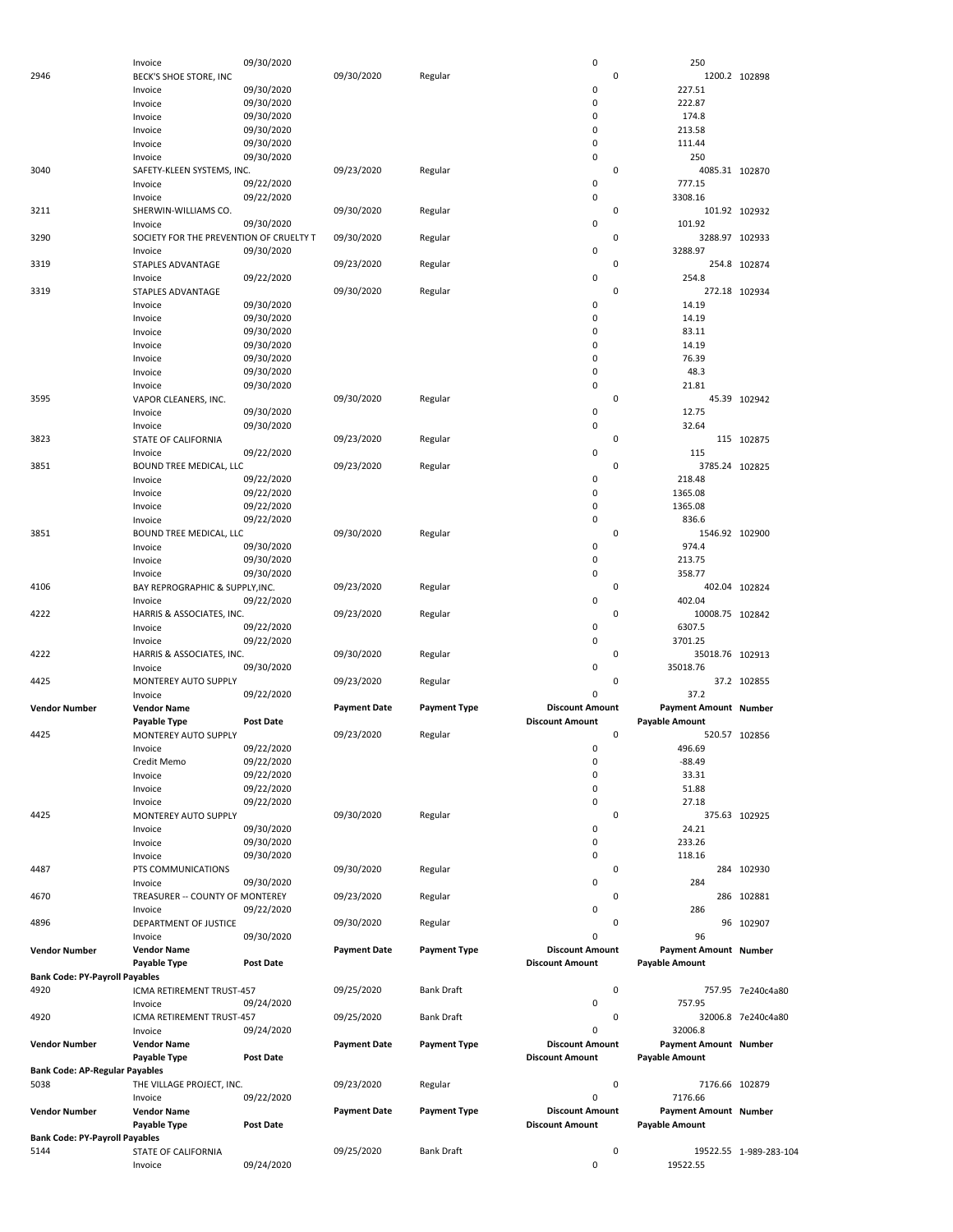|                                       | Invoice                                 | 09/30/2020       |                     |                     | 0                      |             | 250                          |                        |
|---------------------------------------|-----------------------------------------|------------------|---------------------|---------------------|------------------------|-------------|------------------------------|------------------------|
| 2946                                  | BECK'S SHOE STORE, INC                  |                  | 09/30/2020          | Regular             |                        | 0           |                              | 1200.2 102898          |
|                                       | Invoice                                 | 09/30/2020       |                     |                     | 0                      |             | 227.51                       |                        |
|                                       | Invoice                                 | 09/30/2020       |                     |                     | 0                      |             | 222.87                       |                        |
|                                       | Invoice                                 | 09/30/2020       |                     |                     | 0                      |             | 174.8                        |                        |
|                                       | Invoice                                 | 09/30/2020       |                     |                     | 0                      |             | 213.58                       |                        |
|                                       |                                         |                  |                     |                     |                        |             |                              |                        |
|                                       | Invoice                                 | 09/30/2020       |                     |                     | 0                      |             | 111.44                       |                        |
|                                       | Invoice                                 | 09/30/2020       |                     |                     | 0                      |             | 250                          |                        |
| 3040                                  | SAFETY-KLEEN SYSTEMS, INC.              |                  | 09/23/2020          | Regular             |                        | 0           |                              | 4085.31 102870         |
|                                       | Invoice                                 | 09/22/2020       |                     |                     | 0                      |             | 777.15                       |                        |
|                                       | Invoice                                 | 09/22/2020       |                     |                     | 0                      |             | 3308.16                      |                        |
| 3211                                  | SHERWIN-WILLIAMS CO.                    |                  | 09/30/2020          | Regular             |                        | 0           |                              | 101.92 102932          |
|                                       | Invoice                                 | 09/30/2020       |                     |                     | 0                      |             | 101.92                       |                        |
| 3290                                  | SOCIETY FOR THE PREVENTION OF CRUELTY T |                  | 09/30/2020          | Regular             |                        | 0           |                              | 3288.97 102933         |
|                                       | Invoice                                 |                  |                     |                     | 0                      |             | 3288.97                      |                        |
|                                       |                                         | 09/30/2020       |                     |                     |                        |             |                              |                        |
| 3319                                  | STAPLES ADVANTAGE                       |                  | 09/23/2020          | Regular             |                        | 0           |                              | 254.8 102874           |
|                                       | Invoice                                 | 09/22/2020       |                     |                     | 0                      |             | 254.8                        |                        |
| 3319                                  | STAPLES ADVANTAGE                       |                  | 09/30/2020          | Regular             |                        | 0           |                              | 272.18 102934          |
|                                       | Invoice                                 | 09/30/2020       |                     |                     | 0                      |             | 14.19                        |                        |
|                                       | Invoice                                 | 09/30/2020       |                     |                     | 0                      |             | 14.19                        |                        |
|                                       | Invoice                                 | 09/30/2020       |                     |                     | 0                      |             | 83.11                        |                        |
|                                       | Invoice                                 | 09/30/2020       |                     |                     | 0                      |             | 14.19                        |                        |
|                                       | Invoice                                 | 09/30/2020       |                     |                     | 0                      |             | 76.39                        |                        |
|                                       |                                         | 09/30/2020       |                     |                     | 0                      |             | 48.3                         |                        |
|                                       | Invoice                                 |                  |                     |                     | 0                      |             |                              |                        |
|                                       | Invoice                                 | 09/30/2020       |                     |                     |                        |             | 21.81                        |                        |
| 3595                                  | VAPOR CLEANERS, INC.                    |                  | 09/30/2020          | Regular             |                        | 0           |                              | 45.39 102942           |
|                                       | Invoice                                 | 09/30/2020       |                     |                     | 0                      |             | 12.75                        |                        |
|                                       | Invoice                                 | 09/30/2020       |                     |                     | 0                      |             | 32.64                        |                        |
| 3823                                  | STATE OF CALIFORNIA                     |                  | 09/23/2020          | Regular             |                        | 0           |                              | 115 102875             |
|                                       | Invoice                                 | 09/22/2020       |                     |                     | 0                      |             | 115                          |                        |
| 3851                                  | BOUND TREE MEDICAL, LLC                 |                  | 09/23/2020          | Regular             |                        | 0           |                              | 3785.24 102825         |
|                                       | Invoice                                 | 09/22/2020       |                     |                     | 0                      |             | 218.48                       |                        |
|                                       |                                         |                  |                     |                     |                        |             |                              |                        |
|                                       | Invoice                                 | 09/22/2020       |                     |                     | 0                      |             | 1365.08                      |                        |
|                                       | Invoice                                 | 09/22/2020       |                     |                     | 0                      |             | 1365.08                      |                        |
|                                       | Invoice                                 | 09/22/2020       |                     |                     | 0                      |             | 836.6                        |                        |
| 3851                                  | BOUND TREE MEDICAL, LLC                 |                  | 09/30/2020          | Regular             |                        | 0           |                              | 1546.92 102900         |
|                                       | Invoice                                 | 09/30/2020       |                     |                     | 0                      |             | 974.4                        |                        |
|                                       | Invoice                                 | 09/30/2020       |                     |                     | 0                      |             | 213.75                       |                        |
|                                       | Invoice                                 | 09/30/2020       |                     |                     | 0                      |             | 358.77                       |                        |
| 4106                                  | BAY REPROGRAPHIC & SUPPLY, INC.         |                  | 09/23/2020          |                     |                        | 0           |                              | 402.04 102824          |
|                                       |                                         |                  |                     | Regular             |                        |             |                              |                        |
|                                       | Invoice                                 | 09/22/2020       |                     |                     | 0                      |             | 402.04                       |                        |
| 4222                                  | HARRIS & ASSOCIATES, INC.               |                  | 09/23/2020          | Regular             |                        | $\mathbf 0$ | 10008.75 102842              |                        |
|                                       | Invoice                                 | 09/22/2020       |                     |                     | 0                      |             | 6307.5                       |                        |
|                                       | Invoice                                 | 09/22/2020       |                     |                     | 0                      |             | 3701.25                      |                        |
| 4222                                  | HARRIS & ASSOCIATES, INC.               |                  | 09/30/2020          | Regular             |                        | 0           | 35018.76 102913              |                        |
|                                       | Invoice                                 | 09/30/2020       |                     |                     | 0                      |             | 35018.76                     |                        |
| 4425                                  | MONTEREY AUTO SUPPLY                    |                  | 09/23/2020          | Regular             |                        | 0           |                              | 37.2 102855            |
|                                       |                                         | 09/22/2020       |                     |                     | 0                      |             | 37.2                         |                        |
|                                       | Invoice                                 |                  |                     |                     |                        |             |                              |                        |
| <b>Vendor Number</b>                  | <b>Vendor Name</b>                      |                  | <b>Payment Date</b> | <b>Payment Type</b> | <b>Discount Amount</b> |             | <b>Payment Amount Number</b> |                        |
|                                       | Payable Type                            | <b>Post Date</b> |                     |                     | <b>Discount Amount</b> |             | <b>Payable Amount</b>        |                        |
| 4425                                  | <b>MONTEREY AUTO SUPPLY</b>             |                  | 09/23/2020          | Regular             |                        | 0           |                              | 520.57 102856          |
|                                       | Invoice                                 | 09/22/2020       |                     |                     | 0                      |             | 496.69                       |                        |
|                                       | Credit Memo                             | 09/22/2020       |                     |                     | 0                      |             | $-88.49$                     |                        |
|                                       | Invoice                                 | 09/22/2020       |                     |                     | 0                      |             | 33.31                        |                        |
|                                       | Invoice                                 | 09/22/2020       |                     |                     | 0                      |             | 51.88                        |                        |
|                                       | Invoice                                 | 09/22/2020       |                     |                     | 0                      |             | 27.18                        |                        |
|                                       |                                         |                  |                     |                     |                        |             |                              |                        |
| 4425                                  | MONTEREY AUTO SUPPLY                    |                  | 09/30/2020          | Regular             |                        | 0           |                              | 375.63 102925          |
|                                       | Invoice                                 | 09/30/2020       |                     |                     | 0                      |             | 24.21                        |                        |
|                                       | Invoice                                 | 09/30/2020       |                     |                     | 0                      |             | 233.26                       |                        |
|                                       | Invoice                                 | 09/30/2020       |                     |                     | 0                      |             | 118.16                       |                        |
| 4487                                  | PTS COMMUNICATIONS                      |                  | 09/30/2020          | Regular             |                        | 0           |                              | 284 102930             |
|                                       | Invoice                                 | 09/30/2020       |                     |                     | 0                      |             | 284                          |                        |
| 4670                                  | TREASURER -- COUNTY OF MONTEREY         |                  | 09/23/2020          | Regular             |                        | 0           |                              | 286 102881             |
|                                       | Invoice                                 | 09/22/2020       |                     |                     | 0                      |             | 286                          |                        |
|                                       |                                         |                  | 09/30/2020          |                     |                        | 0           |                              | 96 102907              |
| 4896                                  | DEPARTMENT OF JUSTICE                   |                  |                     | Regular             |                        |             |                              |                        |
|                                       | Invoice                                 | 09/30/2020       |                     |                     | 0                      |             | 96                           |                        |
| <b>Vendor Number</b>                  | <b>Vendor Name</b>                      |                  | <b>Payment Date</b> | <b>Payment Type</b> | <b>Discount Amount</b> |             | <b>Payment Amount Number</b> |                        |
|                                       | Payable Type                            | <b>Post Date</b> |                     |                     | <b>Discount Amount</b> |             | <b>Payable Amount</b>        |                        |
| <b>Bank Code: PY-Payroll Payables</b> |                                         |                  |                     |                     |                        |             |                              |                        |
| 4920                                  | ICMA RETIREMENT TRUST-457               |                  | 09/25/2020          | <b>Bank Draft</b>   |                        | 0           |                              | 757.95 7e240c4a80      |
|                                       | Invoice                                 | 09/24/2020       |                     |                     | 0                      |             | 757.95                       |                        |
| 4920                                  | ICMA RETIREMENT TRUST-457               |                  | 09/25/2020          | <b>Bank Draft</b>   |                        | 0           |                              | 32006.8 7e240c4a80     |
|                                       |                                         |                  |                     |                     | 0                      |             | 32006.8                      |                        |
|                                       | Invoice                                 | 09/24/2020       |                     |                     |                        |             |                              |                        |
| <b>Vendor Number</b>                  | <b>Vendor Name</b>                      |                  | <b>Payment Date</b> | <b>Payment Type</b> | <b>Discount Amount</b> |             | <b>Payment Amount Number</b> |                        |
|                                       | Payable Type                            | Post Date        |                     |                     | <b>Discount Amount</b> |             | <b>Payable Amount</b>        |                        |
| <b>Bank Code: AP-Regular Payables</b> |                                         |                  |                     |                     |                        |             |                              |                        |
|                                       |                                         |                  |                     |                     |                        | 0           |                              |                        |
| 5038                                  | THE VILLAGE PROJECT, INC.               |                  | 09/23/2020          | Regular             |                        |             | 7176.66 102879               |                        |
|                                       | Invoice                                 | 09/22/2020       |                     |                     | 0                      |             | 7176.66                      |                        |
|                                       |                                         |                  |                     |                     | <b>Discount Amount</b> |             |                              |                        |
| <b>Vendor Number</b>                  | <b>Vendor Name</b>                      |                  | <b>Payment Date</b> | <b>Payment Type</b> |                        |             | <b>Payment Amount Number</b> |                        |
|                                       | Payable Type                            | <b>Post Date</b> |                     |                     | <b>Discount Amount</b> |             | <b>Payable Amount</b>        |                        |
| <b>Bank Code: PY-Payroll Payables</b> |                                         |                  |                     |                     |                        |             |                              |                        |
| 5144                                  | STATE OF CALIFORNIA<br>Invoice          | 09/24/2020       | 09/25/2020          | Bank Draft          | 0                      | 0           | 19522.55                     | 19522.55 1-989-283-104 |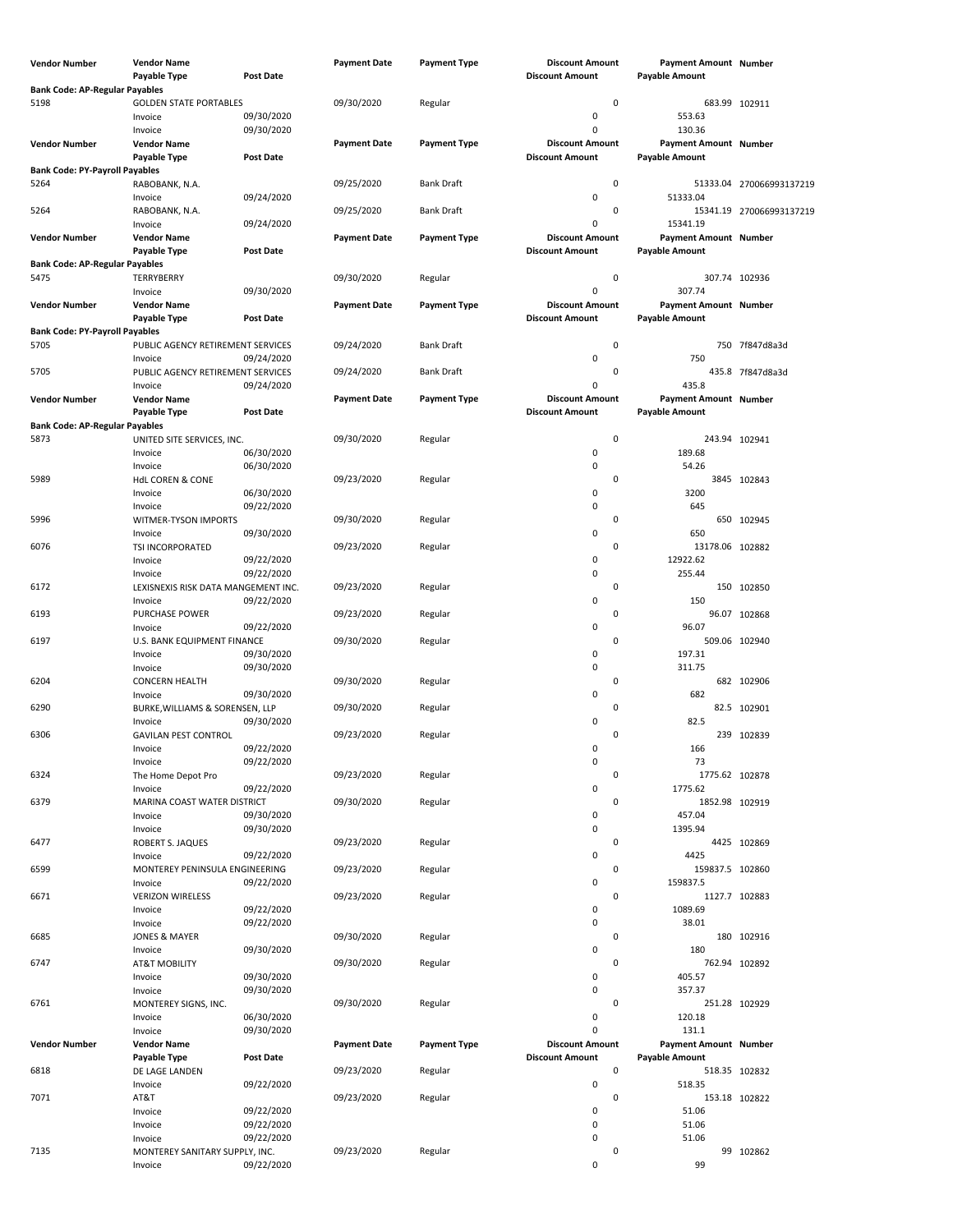| Vendor Number                                 | <b>Vendor Name</b>                             |                          | <b>Payment Date</b> | <b>Payment Type</b> | <b>Discount Amount</b>                           | Payment Amount Number                                 |                          |
|-----------------------------------------------|------------------------------------------------|--------------------------|---------------------|---------------------|--------------------------------------------------|-------------------------------------------------------|--------------------------|
|                                               | Payable Type                                   | <b>Post Date</b>         |                     |                     | <b>Discount Amount</b>                           | <b>Payable Amount</b>                                 |                          |
| <b>Bank Code: AP-Regular Payables</b><br>5198 | <b>GOLDEN STATE PORTABLES</b>                  |                          | 09/30/2020          | Regular             | $\pmb{0}$                                        | 683.99 102911                                         |                          |
|                                               | Invoice                                        | 09/30/2020               |                     |                     | 0                                                | 553.63                                                |                          |
|                                               | Invoice                                        | 09/30/2020               |                     |                     | 0                                                | 130.36                                                |                          |
| Vendor Number                                 | <b>Vendor Name</b>                             |                          | <b>Payment Date</b> | <b>Payment Type</b> | <b>Discount Amount</b>                           | Payment Amount Number                                 |                          |
|                                               | <b>Payable Type</b>                            | <b>Post Date</b>         |                     |                     | <b>Discount Amount</b>                           | <b>Payable Amount</b>                                 |                          |
| <b>Bank Code: PY-Payroll Payables</b><br>5264 | RABOBANK, N.A.                                 |                          | 09/25/2020          | <b>Bank Draft</b>   | 0                                                |                                                       | 51333.04 270066993137219 |
|                                               | Invoice                                        | 09/24/2020               |                     |                     | 0                                                | 51333.04                                              |                          |
| 5264                                          | RABOBANK, N.A.                                 |                          | 09/25/2020          | <b>Bank Draft</b>   | 0                                                |                                                       | 15341.19 270066993137219 |
|                                               | Invoice                                        | 09/24/2020               |                     |                     | 0                                                | 15341.19                                              |                          |
| Vendor Number                                 | <b>Vendor Name</b><br>Payable Type             | <b>Post Date</b>         | <b>Payment Date</b> | <b>Payment Type</b> | <b>Discount Amount</b><br><b>Discount Amount</b> | Payment Amount Number<br><b>Payable Amount</b>        |                          |
| <b>Bank Code: AP-Regular Payables</b>         |                                                |                          |                     |                     |                                                  |                                                       |                          |
| 5475                                          | TERRYBERRY                                     |                          | 09/30/2020          | Regular             | 0                                                | 307.74 102936                                         |                          |
|                                               | Invoice                                        | 09/30/2020               |                     |                     | 0                                                | 307.74                                                |                          |
| Vendor Number                                 | <b>Vendor Name</b>                             |                          | <b>Payment Date</b> | <b>Payment Type</b> | <b>Discount Amount</b>                           | Payment Amount Number                                 |                          |
| <b>Bank Code: PY-Payroll Payables</b>         | <b>Payable Type</b>                            | <b>Post Date</b>         |                     |                     | <b>Discount Amount</b>                           | <b>Payable Amount</b>                                 |                          |
| 5705                                          | PUBLIC AGENCY RETIREMENT SERVICES              |                          | 09/24/2020          | <b>Bank Draft</b>   | 0                                                |                                                       | 750 7f847d8a3d           |
|                                               | Invoice                                        | 09/24/2020               |                     |                     | 0                                                | 750                                                   |                          |
| 5705                                          | PUBLIC AGENCY RETIREMENT SERVICES              |                          | 09/24/2020          | <b>Bank Draft</b>   | 0                                                |                                                       | 435.8 7f847d8a3d         |
|                                               | Invoice                                        | 09/24/2020               |                     |                     | 0                                                | 435.8                                                 |                          |
| Vendor Number                                 | <b>Vendor Name</b>                             | <b>Post Date</b>         | <b>Payment Date</b> | <b>Payment Type</b> | <b>Discount Amount</b><br><b>Discount Amount</b> | <b>Payment Amount Number</b><br><b>Payable Amount</b> |                          |
| <b>Bank Code: AP-Regular Payables</b>         | Payable Type                                   |                          |                     |                     |                                                  |                                                       |                          |
| 5873                                          | UNITED SITE SERVICES, INC.                     |                          | 09/30/2020          | Regular             | $\mathbf 0$                                      | 243.94 102941                                         |                          |
|                                               | Invoice                                        | 06/30/2020               |                     |                     | 0                                                | 189.68                                                |                          |
|                                               | Invoice                                        | 06/30/2020               |                     |                     | 0                                                | 54.26                                                 |                          |
| 5989                                          | <b>HdL COREN &amp; CONE</b>                    |                          | 09/23/2020          | Regular             | 0                                                |                                                       | 3845 102843              |
|                                               | Invoice<br>Invoice                             | 06/30/2020<br>09/22/2020 |                     |                     | 0<br>0                                           | 3200<br>645                                           |                          |
| 5996                                          | WITMER-TYSON IMPORTS                           |                          | 09/30/2020          | Regular             | 0                                                |                                                       | 650 102945               |
|                                               | Invoice                                        | 09/30/2020               |                     |                     | 0                                                | 650                                                   |                          |
| 6076                                          | TSI INCORPORATED                               |                          | 09/23/2020          | Regular             | 0                                                | 13178.06 102882                                       |                          |
|                                               | Invoice                                        | 09/22/2020               |                     |                     | 0                                                | 12922.62                                              |                          |
| 6172                                          | Invoice<br>LEXISNEXIS RISK DATA MANGEMENT INC. | 09/22/2020               | 09/23/2020          | Regular             | 0<br>0                                           | 255.44                                                | 150 102850               |
|                                               | Invoice                                        | 09/22/2020               |                     |                     | 0                                                | 150                                                   |                          |
| 6193                                          | PURCHASE POWER                                 |                          | 09/23/2020          | Regular             | 0                                                |                                                       | 96.07 102868             |
|                                               | Invoice                                        | 09/22/2020               |                     |                     | 0                                                | 96.07                                                 |                          |
| 6197                                          | U.S. BANK EQUIPMENT FINANCE                    |                          | 09/30/2020          | Regular             | 0                                                | 509.06 102940                                         |                          |
|                                               | Invoice                                        | 09/30/2020<br>09/30/2020 |                     |                     | 0<br>0                                           | 197.31<br>311.75                                      |                          |
| 6204                                          | Invoice<br><b>CONCERN HEALTH</b>               |                          | 09/30/2020          | Regular             | 0                                                |                                                       | 682 102906               |
|                                               | Invoice                                        | 09/30/2020               |                     |                     | 0                                                | 682                                                   |                          |
| 6290                                          | BURKE, WILLIAMS & SORENSEN, LLP                |                          | 09/30/2020          | Regular             | 0                                                |                                                       | 82.5 102901              |
|                                               | Invoice                                        | 09/30/2020               |                     |                     | 0                                                | 82.5                                                  |                          |
| 6306                                          | <b>GAVILAN PEST CONTROL</b>                    | 09/22/2020               | 09/23/2020          | Regular             | 0<br>0                                           |                                                       | 239 102839               |
|                                               | Invoice<br>Invoice                             | 09/22/2020               |                     |                     | 0                                                | 166<br>73                                             |                          |
| 6324                                          | The Home Depot Pro                             |                          | 09/23/2020          | Regular             | 0                                                | 1775.62 102878                                        |                          |
|                                               | Invoice                                        | 09/22/2020               |                     |                     | 0                                                | 1775.62                                               |                          |
| 6379                                          | MARINA COAST WATER DISTRICT                    |                          | 09/30/2020          | Regular             | 0                                                | 1852.98 102919                                        |                          |
|                                               | Invoice                                        | 09/30/2020               |                     |                     | 0                                                | 457.04                                                |                          |
| 6477                                          | Invoice<br>ROBERT S. JAQUES                    | 09/30/2020               | 09/23/2020          | Regular             | 0<br>0                                           | 1395.94                                               | 4425 102869              |
|                                               | Invoice                                        | 09/22/2020               |                     |                     | 0                                                | 4425                                                  |                          |
| 6599                                          | MONTEREY PENINSULA ENGINEERING                 |                          | 09/23/2020          | Regular             | 0                                                | 159837.5 102860                                       |                          |
|                                               | Invoice                                        | 09/22/2020               |                     |                     | 0                                                | 159837.5                                              |                          |
| 6671                                          | <b>VERIZON WIRELESS</b>                        |                          | 09/23/2020          | Regular             | 0                                                | 1127.7 102883                                         |                          |
|                                               | Invoice<br>Invoice                             | 09/22/2020<br>09/22/2020 |                     |                     | 0<br>0                                           | 1089.69<br>38.01                                      |                          |
| 6685                                          | JONES & MAYER                                  |                          | 09/30/2020          | Regular             | 0                                                |                                                       | 180 102916               |
|                                               | Invoice                                        | 09/30/2020               |                     |                     | 0                                                | 180                                                   |                          |
| 6747                                          | <b>AT&amp;T MOBILITY</b>                       |                          | 09/30/2020          | Regular             | 0                                                | 762.94 102892                                         |                          |
|                                               | Invoice                                        | 09/30/2020               |                     |                     | 0                                                | 405.57                                                |                          |
| 6761                                          | Invoice<br>MONTEREY SIGNS, INC.                | 09/30/2020               | 09/30/2020          | Regular             | 0<br>0                                           | 357.37<br>251.28 102929                               |                          |
|                                               | Invoice                                        | 06/30/2020               |                     |                     | 0                                                | 120.18                                                |                          |
|                                               | Invoice                                        | 09/30/2020               |                     |                     | 0                                                | 131.1                                                 |                          |
| <b>Vendor Number</b>                          | <b>Vendor Name</b>                             |                          | <b>Payment Date</b> | <b>Payment Type</b> | <b>Discount Amount</b>                           | Payment Amount Number                                 |                          |
|                                               | Payable Type                                   | Post Date                |                     |                     | <b>Discount Amount</b><br>$\pmb{0}$              | <b>Payable Amount</b>                                 |                          |
| 6818                                          | DE LAGE LANDEN<br>Invoice                      | 09/22/2020               | 09/23/2020          | Regular             | 0                                                | 518.35 102832<br>518.35                               |                          |
| 7071                                          | AT&T                                           |                          | 09/23/2020          | Regular             | 0                                                | 153.18 102822                                         |                          |
|                                               | Invoice                                        | 09/22/2020               |                     |                     | 0                                                | 51.06                                                 |                          |
|                                               | Invoice                                        | 09/22/2020               |                     |                     | 0                                                | 51.06                                                 |                          |
|                                               | Invoice                                        | 09/22/2020               |                     |                     | 0                                                | 51.06                                                 |                          |
| 7135                                          | MONTEREY SANITARY SUPPLY, INC.<br>Invoice      | 09/22/2020               | 09/23/2020          | Regular             | 0<br>0                                           | 99                                                    | 99 102862                |
|                                               |                                                |                          |                     |                     |                                                  |                                                       |                          |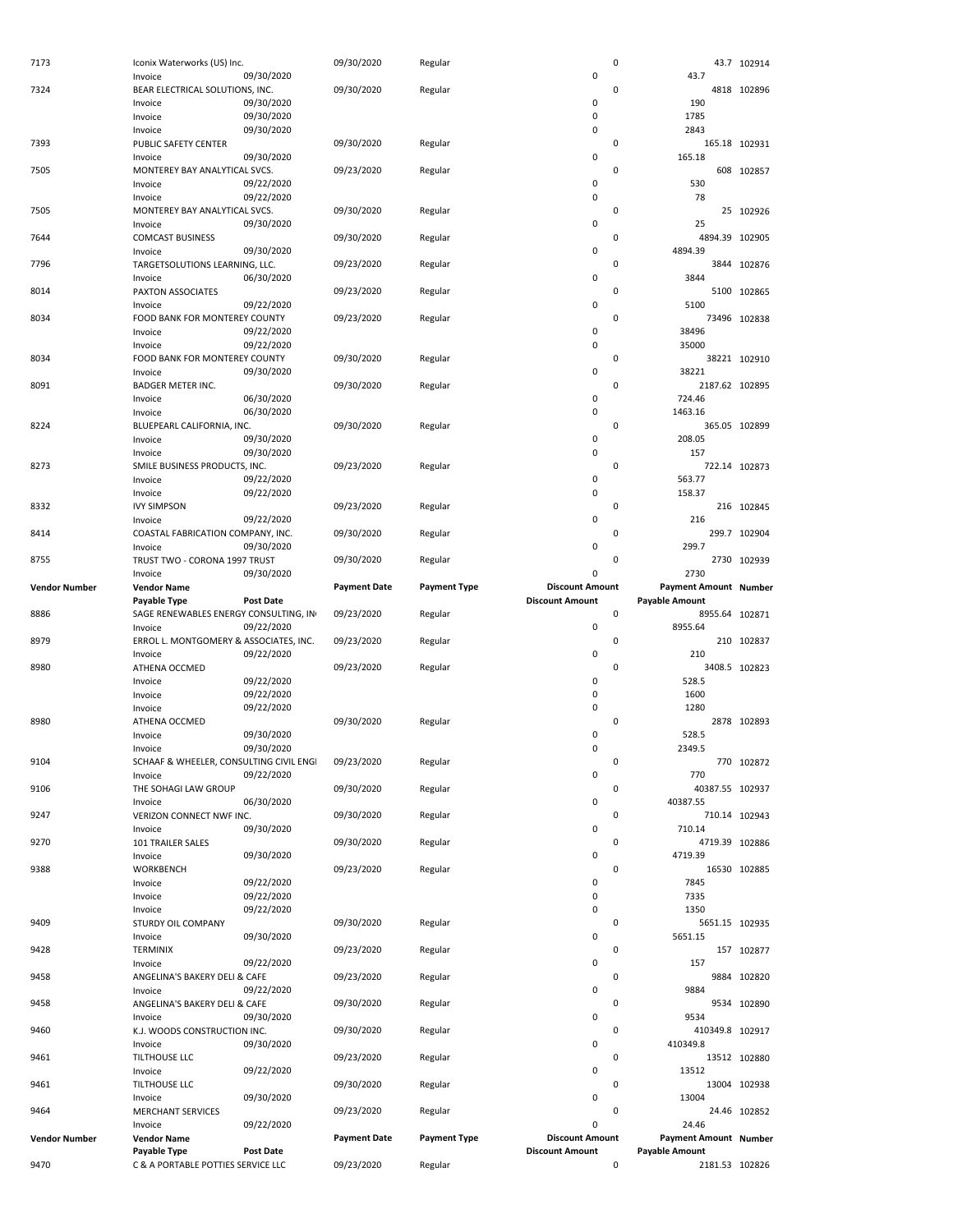| 7173                 | Iconix Waterworks (US) Inc.                        |                          | 09/30/2020          | Regular             |                                                  | 0         |                                                       | 43.7 102914   |
|----------------------|----------------------------------------------------|--------------------------|---------------------|---------------------|--------------------------------------------------|-----------|-------------------------------------------------------|---------------|
|                      | Invoice                                            | 09/30/2020               |                     |                     | $\pmb{0}$                                        |           | 43.7                                                  |               |
| 7324                 | BEAR ELECTRICAL SOLUTIONS, INC.<br>Invoice         | 09/30/2020               | 09/30/2020          | Regular             | 0                                                | 0         | 190                                                   | 4818 102896   |
|                      | Invoice                                            | 09/30/2020               |                     |                     | 0                                                |           | 1785                                                  |               |
|                      | Invoice                                            | 09/30/2020               |                     |                     | $\pmb{0}$                                        |           | 2843                                                  |               |
| 7393                 | PUBLIC SAFETY CENTER                               |                          | 09/30/2020          | Regular             |                                                  | 0         |                                                       | 165.18 102931 |
|                      | Invoice                                            | 09/30/2020               |                     |                     | 0                                                |           | 165.18                                                |               |
| 7505                 | MONTEREY BAY ANALYTICAL SVCS.                      |                          | 09/23/2020          | Regular             |                                                  | 0         |                                                       | 608 102857    |
|                      | Invoice                                            | 09/22/2020               |                     |                     | 0                                                |           | 530                                                   |               |
|                      | Invoice                                            | 09/22/2020               |                     |                     | $\pmb{0}$                                        |           | 78                                                    |               |
| 7505                 | MONTEREY BAY ANALYTICAL SVCS.<br>Invoice           | 09/30/2020               | 09/30/2020          | Regular             | 0                                                | 0         | 25                                                    | 25 102926     |
| 7644                 | <b>COMCAST BUSINESS</b>                            |                          | 09/30/2020          | Regular             |                                                  | 0         | 4894.39 102905                                        |               |
|                      | Invoice                                            | 09/30/2020               |                     |                     | 0                                                |           | 4894.39                                               |               |
| 7796                 | TARGETSOLUTIONS LEARNING, LLC.                     |                          | 09/23/2020          | Regular             |                                                  | 0         |                                                       | 3844 102876   |
|                      | Invoice                                            | 06/30/2020               |                     |                     | 0                                                |           | 3844                                                  |               |
| 8014                 | PAXTON ASSOCIATES                                  |                          | 09/23/2020          | Regular             |                                                  | 0         |                                                       | 5100 102865   |
|                      | Invoice                                            | 09/22/2020               |                     |                     | 0                                                |           | 5100                                                  |               |
| 8034                 | FOOD BANK FOR MONTEREY COUNTY                      |                          | 09/23/2020          | Regular             |                                                  | 0         |                                                       | 73496 102838  |
|                      | Invoice                                            | 09/22/2020               |                     |                     | 0<br>$\pmb{0}$                                   |           | 38496<br>35000                                        |               |
| 8034                 | Invoice<br>FOOD BANK FOR MONTEREY COUNTY           | 09/22/2020               | 09/30/2020          | Regular             |                                                  | 0         |                                                       | 38221 102910  |
|                      | Invoice                                            | 09/30/2020               |                     |                     | 0                                                |           | 38221                                                 |               |
| 8091                 | <b>BADGER METER INC.</b>                           |                          | 09/30/2020          | Regular             |                                                  | 0         | 2187.62 102895                                        |               |
|                      | Invoice                                            | 06/30/2020               |                     |                     | 0                                                |           | 724.46                                                |               |
|                      | Invoice                                            | 06/30/2020               |                     |                     | $\pmb{0}$                                        |           | 1463.16                                               |               |
| 8224                 | BLUEPEARL CALIFORNIA, INC.                         |                          | 09/30/2020          | Regular             |                                                  | 0         |                                                       | 365.05 102899 |
|                      | Invoice                                            | 09/30/2020               |                     |                     | 0                                                |           | 208.05                                                |               |
|                      | Invoice                                            | 09/30/2020               |                     |                     | 0                                                |           | 157                                                   |               |
| 8273                 | SMILE BUSINESS PRODUCTS, INC.                      |                          | 09/23/2020          | Regular             | 0                                                | 0         |                                                       | 722.14 102873 |
|                      | Invoice<br>Invoice                                 | 09/22/2020<br>09/22/2020 |                     |                     | 0                                                |           | 563.77<br>158.37                                      |               |
| 8332                 | <b>IVY SIMPSON</b>                                 |                          | 09/23/2020          | Regular             |                                                  | 0         |                                                       | 216 102845    |
|                      | Invoice                                            | 09/22/2020               |                     |                     | 0                                                |           | 216                                                   |               |
| 8414                 | COASTAL FABRICATION COMPANY, INC.                  |                          | 09/30/2020          | Regular             |                                                  | 0         |                                                       | 299.7 102904  |
|                      | Invoice                                            | 09/30/2020               |                     |                     | 0                                                |           | 299.7                                                 |               |
| 8755                 | TRUST TWO - CORONA 1997 TRUST                      |                          | 09/30/2020          | Regular             |                                                  | 0         |                                                       | 2730 102939   |
|                      | Invoice                                            | 09/30/2020               |                     |                     | 0                                                |           | 2730                                                  |               |
| <b>Vendor Number</b> | <b>Vendor Name</b><br>Payable Type                 | <b>Post Date</b>         | <b>Payment Date</b> | <b>Payment Type</b> | <b>Discount Amount</b><br><b>Discount Amount</b> |           | <b>Payment Amount Number</b><br><b>Payable Amount</b> |               |
| 8886                 |                                                    |                          |                     |                     |                                                  | 0         | 8955.64 102871                                        |               |
|                      |                                                    |                          |                     |                     |                                                  |           |                                                       |               |
|                      | SAGE RENEWABLES ENERGY CONSULTING, IN              |                          | 09/23/2020          | Regular             | $\pmb{0}$                                        |           | 8955.64                                               |               |
| 8979                 | Invoice<br>ERROL L. MONTGOMERY & ASSOCIATES, INC.  | 09/22/2020               | 09/23/2020          | Regular             |                                                  | 0         |                                                       | 210 102837    |
|                      | Invoice                                            | 09/22/2020               |                     |                     | 0                                                |           | 210                                                   |               |
| 8980                 | ATHENA OCCMED                                      |                          | 09/23/2020          | Regular             |                                                  | 0         |                                                       | 3408.5 102823 |
|                      | Invoice                                            | 09/22/2020               |                     |                     | 0                                                |           | 528.5                                                 |               |
|                      | Invoice                                            | 09/22/2020               |                     |                     | 0                                                |           | 1600                                                  |               |
|                      | Invoice                                            | 09/22/2020               |                     |                     | 0                                                |           | 1280                                                  |               |
| 8980                 | ATHENA OCCMED                                      |                          | 09/30/2020          | Regular             | 0                                                | 0         | 528.5                                                 | 2878 102893   |
|                      | Invoice<br>Invoice                                 | 09/30/2020<br>09/30/2020 |                     |                     | 0                                                |           | 2349.5                                                |               |
| 9104                 | SCHAAF & WHEELER, CONSULTING CIVIL ENGI            |                          | 09/23/2020          | Regular             |                                                  | 0         |                                                       | 770 102872    |
|                      | Invoice                                            | 09/22/2020               |                     |                     | $\pmb{0}$                                        |           | 770                                                   |               |
| 9106                 | THE SOHAGI LAW GROUP                               |                          | 09/30/2020          | Regular             |                                                  | 0         | 40387.55 102937                                       |               |
|                      | Invoice                                            | 06/30/2020               |                     |                     | $\pmb{0}$                                        |           | 40387.55                                              |               |
| 9247                 | VERIZON CONNECT NWF INC.                           |                          | 09/30/2020          | Regular             |                                                  | 0         |                                                       | 710.14 102943 |
|                      | Invoice                                            | 09/30/2020               |                     |                     | $\pmb{0}$                                        |           | 710.14                                                |               |
| 9270                 | 101 TRAILER SALES<br>Invoice                       | 09/30/2020               | 09/30/2020          | Regular             | 0                                                | 0         | 4719.39 102886<br>4719.39                             |               |
| 9388                 | WORKBENCH                                          |                          | 09/23/2020          | Regular             |                                                  | 0         |                                                       | 16530 102885  |
|                      | Invoice                                            | 09/22/2020               |                     |                     | 0                                                |           | 7845                                                  |               |
|                      | Invoice                                            | 09/22/2020               |                     |                     | 0                                                |           | 7335                                                  |               |
|                      | Invoice                                            | 09/22/2020               |                     |                     | 0                                                |           | 1350                                                  |               |
| 9409                 | STURDY OIL COMPANY                                 |                          | 09/30/2020          | Regular             |                                                  | 0         | 5651.15 102935                                        |               |
|                      | Invoice                                            | 09/30/2020               |                     |                     | 0                                                |           | 5651.15                                               |               |
| 9428                 | <b>TERMINIX</b><br>Invoice                         | 09/22/2020               | 09/23/2020          | Regular             | $\pmb{0}$                                        | 0         | 157                                                   | 157 102877    |
| 9458                 | ANGELINA'S BAKERY DELI & CAFE                      |                          | 09/23/2020          | Regular             |                                                  | 0         |                                                       | 9884 102820   |
|                      | Invoice                                            | 09/22/2020               |                     |                     | 0                                                |           | 9884                                                  |               |
| 9458                 | ANGELINA'S BAKERY DELI & CAFE                      |                          | 09/30/2020          | Regular             |                                                  | 0         |                                                       | 9534 102890   |
|                      | Invoice                                            | 09/30/2020               |                     |                     | $\pmb{0}$                                        |           | 9534                                                  |               |
| 9460                 | K.J. WOODS CONSTRUCTION INC.                       |                          | 09/30/2020          | Regular             |                                                  | 0         | 410349.8 102917                                       |               |
|                      | Invoice                                            | 09/30/2020               |                     |                     | $\pmb{0}$                                        | 0         | 410349.8                                              |               |
| 9461                 | <b>TILTHOUSE LLC</b><br>Invoice                    | 09/22/2020               | 09/23/2020          | Regular             | $\pmb{0}$                                        |           | 13512                                                 | 13512 102880  |
| 9461                 | <b>TILTHOUSE LLC</b>                               |                          | 09/30/2020          | Regular             |                                                  | 0         |                                                       | 13004 102938  |
|                      | Invoice                                            | 09/30/2020               |                     |                     | 0                                                |           | 13004                                                 |               |
| 9464                 | <b>MERCHANT SERVICES</b>                           |                          | 09/23/2020          | Regular             |                                                  | 0         |                                                       | 24.46 102852  |
|                      | Invoice                                            | 09/22/2020               |                     |                     | $\mathbf 0$                                      |           | 24.46                                                 |               |
| <b>Vendor Number</b> | <b>Vendor Name</b>                                 |                          | <b>Payment Date</b> | <b>Payment Type</b> | <b>Discount Amount</b>                           |           | <b>Payment Amount Number</b>                          |               |
| 9470                 | Payable Type<br>C & A PORTABLE POTTIES SERVICE LLC | <b>Post Date</b>         | 09/23/2020          | Regular             | <b>Discount Amount</b>                           | $\pmb{0}$ | <b>Payable Amount</b><br>2181.53 102826               |               |